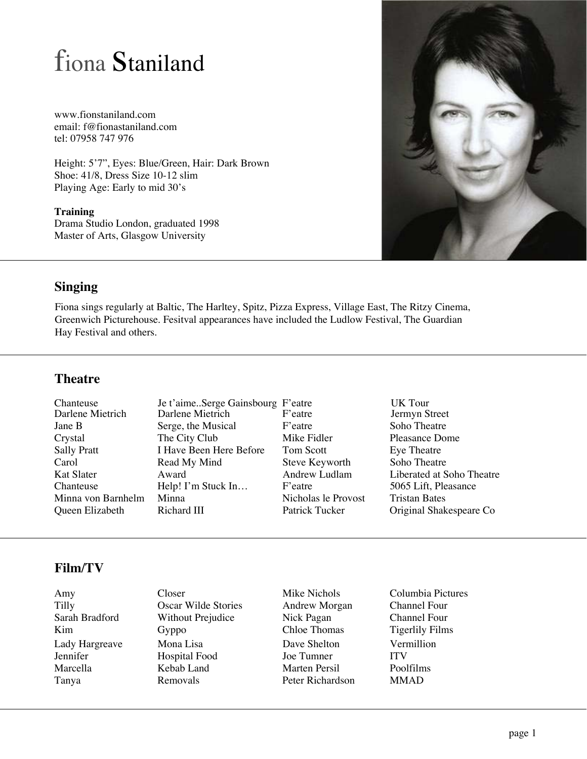# fiona Staniland

www.fionstaniland.com email: f@fionastaniland.com tel: 07958 747 976

Height: 5'7", Eyes: Blue/Green, Hair: Dark Brown Shoe: 41/8, Dress Size 10-12 slim Playing Age: Early to mid 30's

**Training** Drama Studio London, graduated 1998 Master of Arts, Glasgow University



#### **Singing**

Fiona sings regularly at Baltic, The Harltey, Spitz, Pizza Express, Village East, The Ritzy Cinema, Greenwich Picturehouse. Fesitval appearances have included the Ludlow Festival, The Guardian Hay Festival and others.

#### **Theatre**

| Chanteuse          | Je t'aimeSerge Gainsbourg F'eatre |                     | UK Tour                   |
|--------------------|-----------------------------------|---------------------|---------------------------|
| Darlene Mietrich   | Darlene Mietrich                  | F'eatre             | Jermyn Street             |
| Jane B             | Serge, the Musical                | F'eatre             | Soho Theatre              |
| Crystal            | The City Club                     | Mike Fidler         | <b>Pleasance Dome</b>     |
| <b>Sally Pratt</b> | I Have Been Here Before           | Tom Scott           | Eye Theatre               |
| Carol              | Read My Mind                      | Steve Keyworth      | Soho Theatre              |
| Kat Slater         | Award                             | Andrew Ludlam       | Liberated at Soho Theatre |
| Chanteuse          | Help! I'm Stuck In                | F'eatre             | 5065 Lift, Pleasance      |
| Minna von Barnhelm | Minna                             | Nicholas le Provost | <b>Tristan Bates</b>      |
| Queen Elizabeth    | Richard III                       | Patrick Tucker      | Original Shakespeare Co   |

### **Film/TV**

Amy Closer Mike Nichols Columbia Pictures<br>
Tilly Oscar Wilde Stories Andrew Morgan Channel Four Tilly Coscar Wilde Stories Andrew Morgan Channel Four<br>
Sarah Bradford Without Prejudice Nick Pagan Channel Four Without Prejudice Nick Pagan<br>
Gyppo Chloe Thomas Kim Gyppo Chloe Thomas Tigerlily Films Lady Hargreave Mona Lisa Dave Shelton Vermillion Hospital Food Joe Tumner ITV<br>
Kebab Land Marten Persil Poolfilms Marcella Kebab Land Marten Persil Poolfilms Tanya Removals Peter Richardson